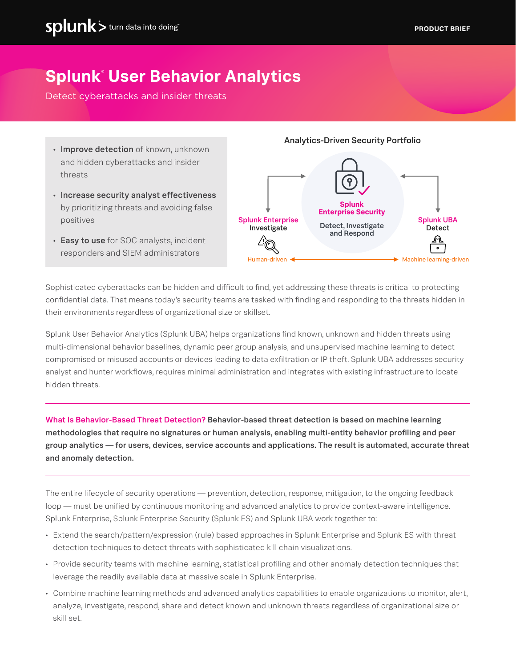# **Splunk**® **User Behavior Analytics**

Detect cyberattacks and insider threats

- Improve detection of known, unknown and hidden cyberattacks and insider threats
- Increase security analyst effectiveness by prioritizing threats and avoiding false positives
- Easy to use for SOC analysts, incident responders and SIEM administrators

Analytics-Driven Security Portfolio



Sophisticated cyberattacks can be hidden and difficult to find, yet addressing these threats is critical to protecting confidential data. That means today's security teams are tasked with finding and responding to the threats hidden in their environments regardless of organizational size or skillset.

Splunk User Behavior Analytics (Splunk UBA) helps organizations find known, unknown and hidden threats using multi-dimensional behavior baselines, dynamic peer group analysis, and unsupervised machine learning to detect compromised or misused accounts or devices leading to data exfiltration or IP theft. Splunk UBA addresses security analyst and hunter workflows, requires minimal administration and integrates with existing infrastructure to locate hidden threats.

What Is Behavior-Based Threat Detection? Behavior-based threat detection is based on machine learning methodologies that require no signatures or human analysis, enabling multi-entity behavior profiling and peer group analytics — for users, devices, service accounts and applications. The result is automated, accurate threat and anomaly detection.

The entire lifecycle of security operations — prevention, detection, response, mitigation, to the ongoing feedback loop — must be unified by continuous monitoring and advanced analytics to provide context-aware intelligence. Splunk Enterprise, Splunk Enterprise Security (Splunk ES) and Splunk UBA work together to:

- Extend the search/pattern/expression (rule) based approaches in Splunk Enterprise and Splunk ES with threat detection techniques to detect threats with sophisticated kill chain visualizations.
- Provide security teams with machine learning, statistical profiling and other anomaly detection techniques that leverage the readily available data at massive scale in Splunk Enterprise.
- Combine machine learning methods and advanced analytics capabilities to enable organizations to monitor, alert, analyze, investigate, respond, share and detect known and unknown threats regardless of organizational size or skill set